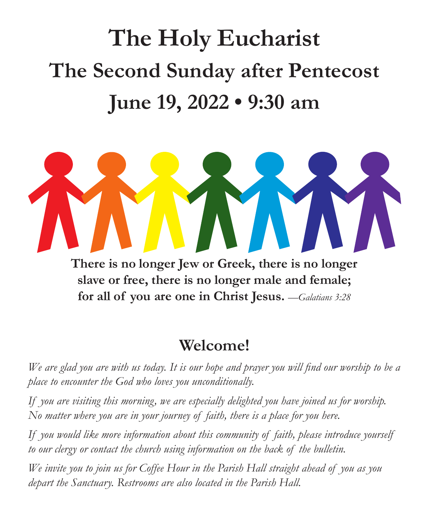**The Holy Eucharist The Second Sunday after Pentecost June 19, 2022 • 9:30 am**

**There is no longer Jew or Greek, there is no longer slave or free, there is no longer male and female; for all of you are one in Christ Jesus.** *—Galatians 3:28*

# **Welcome!**

*We are glad you are with us today. It is our hope and prayer you will find our worship to be a place to encounter the God who loves you unconditionally.* 

*If you are visiting this morning, we are especially delighted you have joined us for worship. No matter where you are in your journey of faith, there is a place for you here.* 

*If you would like more information about this community of faith, please introduce yourself to our clergy or contact the church using information on the back of the bulletin.* 

*We invite you to join us for Coffee Hour in the Parish Hall straight ahead of you as you depart the Sanctuary. Restrooms are also located in the Parish Hall.*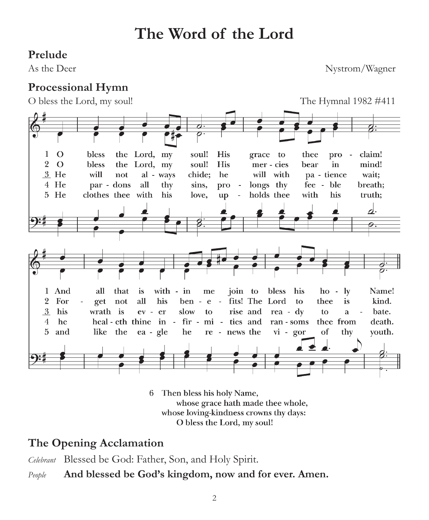# **The Word of the Lord**

#### **Prelude**

As the Deer Nystrom/Wagner



Then bless his holy Name, 6 whose grace hath made thee whole, whose loving-kindness crowns thy days: O bless the Lord, my soul!

#### **The Opening Acclamation**

*Celebrant* Blessed be God: Father, Son, and Holy Spirit.

*People* **And blessed be God's kingdom, now and for ever. Amen.**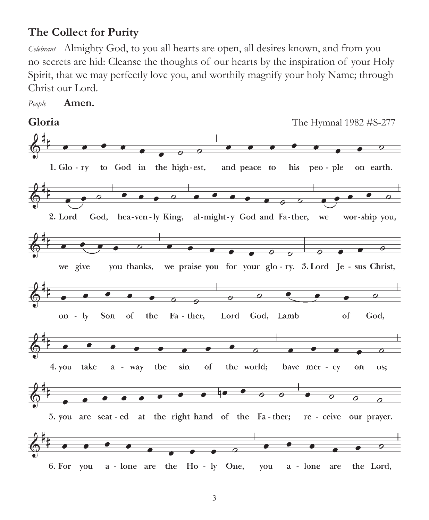#### **The Collect for Purity**

*Celebrant* Almighty God, to you all hearts are open, all desires known, and from you no secrets are hid: Cleanse the thoughts of our hearts by the inspiration of your Holy Spirit, that we may perfectly love you, and worthily magnify your holy Name; through Christ our Lord.

*People* **Amen.**

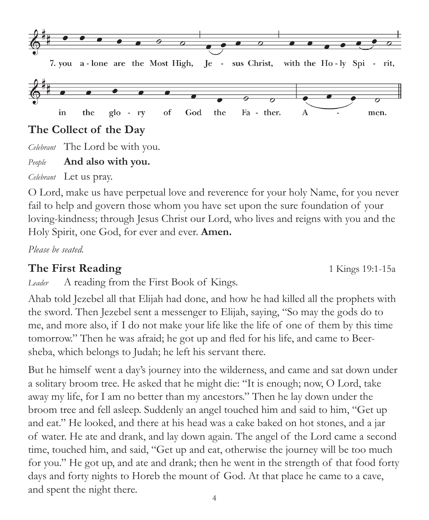

#### **The Collect of the Day**

*Celebrant* The Lord be with you.

#### *People* **And also with you.**

*Celebrant* Let us pray.

O Lord, make us have perpetual love and reverence for your holy Name, for you never fail to help and govern those whom you have set upon the sure foundation of your loving-kindness; through Jesus Christ our Lord, who lives and reigns with you and the Holy Spirit, one God, for ever and ever. **Amen.**

*Please be seated.* 

#### **The First Reading 1 Kings 19:1-15a**

*Leader* A reading from the First Book of Kings.

Ahab told Jezebel all that Elijah had done, and how he had killed all the prophets with the sword. Then Jezebel sent a messenger to Elijah, saying, "So may the gods do to me, and more also, if I do not make your life like the life of one of them by this time tomorrow." Then he was afraid; he got up and fled for his life, and came to Beersheba, which belongs to Judah; he left his servant there.

But he himself went a day's journey into the wilderness, and came and sat down under a solitary broom tree. He asked that he might die: "It is enough; now, O Lord, take away my life, for I am no better than my ancestors." Then he lay down under the broom tree and fell asleep. Suddenly an angel touched him and said to him, "Get up and eat." He looked, and there at his head was a cake baked on hot stones, and a jar of water. He ate and drank, and lay down again. The angel of the Lord came a second time, touched him, and said, "Get up and eat, otherwise the journey will be too much for you." He got up, and ate and drank; then he went in the strength of that food forty days and forty nights to Horeb the mount of God. At that place he came to a cave, and spent the night there.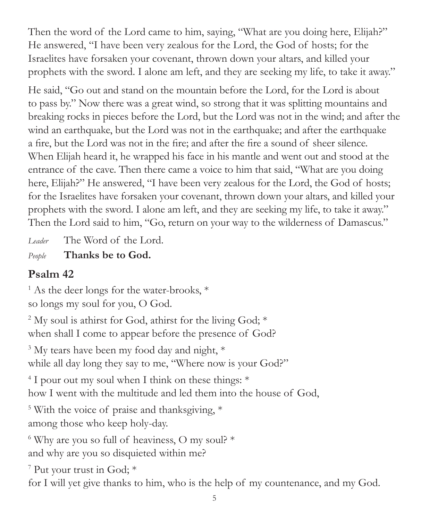Then the word of the Lord came to him, saying, "What are you doing here, Elijah?" He answered, "I have been very zealous for the Lord, the God of hosts; for the Israelites have forsaken your covenant, thrown down your altars, and killed your prophets with the sword. I alone am left, and they are seeking my life, to take it away."

He said, "Go out and stand on the mountain before the Lord, for the Lord is about to pass by." Now there was a great wind, so strong that it was splitting mountains and breaking rocks in pieces before the Lord, but the Lord was not in the wind; and after the wind an earthquake, but the Lord was not in the earthquake; and after the earthquake a fire, but the Lord was not in the fire; and after the fire a sound of sheer silence. When Elijah heard it, he wrapped his face in his mantle and went out and stood at the entrance of the cave. Then there came a voice to him that said, "What are you doing here, Elijah?" He answered, "I have been very zealous for the Lord, the God of hosts; for the Israelites have forsaken your covenant, thrown down your altars, and killed your prophets with the sword. I alone am left, and they are seeking my life, to take it away." Then the Lord said to him, "Go, return on your way to the wilderness of Damascus."

*Leader* The Word of the Lord.

*People* **Thanks be to God.**

#### **Psalm 42**

<sup>1</sup> As the deer longs for the water-brooks,  $*$ so longs my soul for you, O God.

<sup>2</sup> My soul is athirst for God, athirst for the living God; \* when shall I come to appear before the presence of God?

<sup>3</sup> My tears have been my food day and night,  $*$ while all day long they say to me, "Where now is your God?"

4 I pour out my soul when I think on these things: \* how I went with the multitude and led them into the house of God,

<sup>5</sup> With the voice of praise and thanksgiving, \* among those who keep holy-day.

6 Why are you so full of heaviness, O my soul? \* and why are you so disquieted within me?

7 Put your trust in God; \*

for I will yet give thanks to him, who is the help of my countenance, and my God.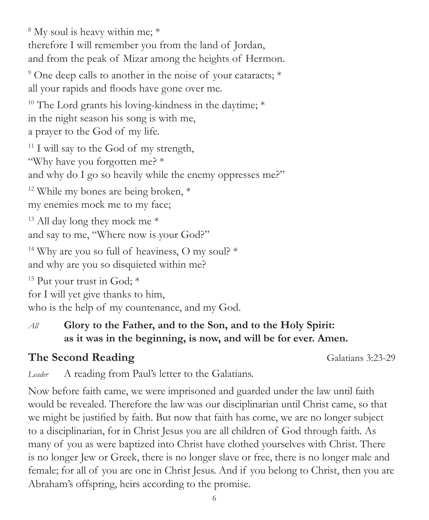8 My soul is heavy within me; \* therefore I will remember you from the land of Jordan, and from the peak of Mizar among the heights of Hermon. <sup>9</sup> One deep calls to another in the noise of your cataracts;  $*$ all your rapids and floods have gone over me. <sup>10</sup> The Lord grants his loving-kindness in the daytime;  $*$ in the night season his song is with me, a prayer to the God of my life.  $11$  I will say to the God of my strength, "Why have you forgotten me? \* and why do I go so heavily while the enemy oppresses me?" <sup>12</sup> While my bones are being broken,  $*$ my enemies mock me to my face; <sup>13</sup> All day long they mock me  $*$ and say to me, "Where now is your God?" <sup>14</sup> Why are you so full of heaviness, O my soul?  $*$ and why are you so disquieted within me? <sup>15</sup> Put your trust in God;  $*$ 

for I will yet give thanks to him, who is the help of my countenance, and my God.

#### *All* **Glory to the Father, and to the Son, and to the Holy Spirit: as it was in the beginning, is now, and will be for ever. Amen.**

### **The Second Reading** Galatians 3:23-29

*Leader* A reading from Paul's letter to the Galatians.

Now before faith came, we were imprisoned and guarded under the law until faith would be revealed. Therefore the law was our disciplinarian until Christ came, so that we might be justified by faith. But now that faith has come, we are no longer subject to a disciplinarian, for in Christ Jesus you are all children of God through faith. As many of you as were baptized into Christ have clothed yourselves with Christ. There is no longer Jew or Greek, there is no longer slave or free, there is no longer male and female; for all of you are one in Christ Jesus. And if you belong to Christ, then you are Abraham's offspring, heirs according to the promise.

6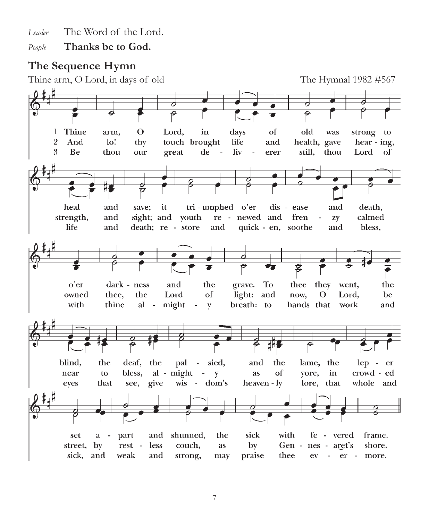*Leader* The Word of the Lord.

*People* **Thanks be to God.**

#### **The Sequence Hymn**

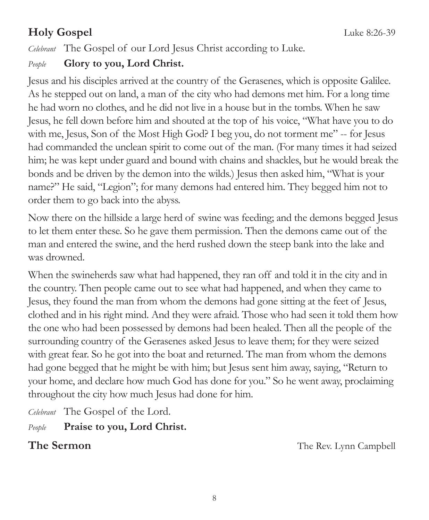# **Holy Gospel** Luke 8:26-39

# *Celebrant* The Gospel of our Lord Jesus Christ according to Luke.

#### *People* **Glory to you, Lord Christ.**

Jesus and his disciples arrived at the country of the Gerasenes, which is opposite Galilee. As he stepped out on land, a man of the city who had demons met him. For a long time he had worn no clothes, and he did not live in a house but in the tombs. When he saw Jesus, he fell down before him and shouted at the top of his voice, "What have you to do with me, Jesus, Son of the Most High God? I beg you, do not torment me" -- for Jesus had commanded the unclean spirit to come out of the man. (For many times it had seized him; he was kept under guard and bound with chains and shackles, but he would break the bonds and be driven by the demon into the wilds.) Jesus then asked him, "What is your name?" He said, "Legion"; for many demons had entered him. They begged him not to order them to go back into the abyss.

Now there on the hillside a large herd of swine was feeding; and the demons begged Jesus to let them enter these. So he gave them permission. Then the demons came out of the man and entered the swine, and the herd rushed down the steep bank into the lake and was drowned.

When the swineherds saw what had happened, they ran off and told it in the city and in the country. Then people came out to see what had happened, and when they came to Jesus, they found the man from whom the demons had gone sitting at the feet of Jesus, clothed and in his right mind. And they were afraid. Those who had seen it told them how the one who had been possessed by demons had been healed. Then all the people of the surrounding country of the Gerasenes asked Jesus to leave them; for they were seized with great fear. So he got into the boat and returned. The man from whom the demons had gone begged that he might be with him; but Jesus sent him away, saying, "Return to your home, and declare how much God has done for you." So he went away, proclaiming throughout the city how much Jesus had done for him.

*Celebrant* The Gospel of the Lord.

#### *People* **Praise to you, Lord Christ.**

**The Sermon** The Rev. Lynn Campbell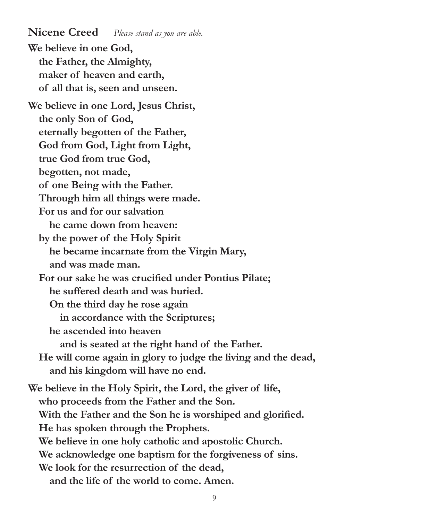**Nicene Creed** *Please stand as you are able.*

**We believe in one God, the Father, the Almighty, maker of heaven and earth, of all that is, seen and unseen. We believe in one Lord, Jesus Christ, the only Son of God, eternally begotten of the Father, God from God, Light from Light, true God from true God, begotten, not made, of one Being with the Father. Through him all things were made. For us and for our salvation he came down from heaven: by the power of the Holy Spirit he became incarnate from the Virgin Mary, and was made man. For our sake he was crucified under Pontius Pilate; he suffered death and was buried. On the third day he rose again in accordance with the Scriptures; he ascended into heaven and is seated at the right hand of the Father. He will come again in glory to judge the living and the dead, and his kingdom will have no end. We believe in the Holy Spirit, the Lord, the giver of life, who proceeds from the Father and the Son. With the Father and the Son he is worshiped and glorified. He has spoken through the Prophets. We believe in one holy catholic and apostolic Church. We acknowledge one baptism for the forgiveness of sins. We look for the resurrection of the dead, and the life of the world to come. Amen.**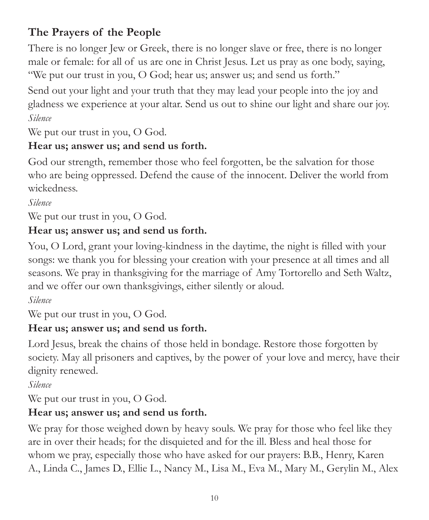# **The Prayers of the People**

There is no longer Jew or Greek, there is no longer slave or free, there is no longer male or female: for all of us are one in Christ Jesus. Let us pray as one body, saying, "We put our trust in you, O God; hear us; answer us; and send us forth."

Send out your light and your truth that they may lead your people into the joy and gladness we experience at your altar. Send us out to shine our light and share our joy. *Silence*

We put our trust in you, O God.

#### **Hear us; answer us; and send us forth.**

God our strength, remember those who feel forgotten, be the salvation for those who are being oppressed. Defend the cause of the innocent. Deliver the world from wickedness.

*Silence*

We put our trust in you, O God.

#### **Hear us; answer us; and send us forth.**

You, O Lord, grant your loving-kindness in the daytime, the night is filled with your songs: we thank you for blessing your creation with your presence at all times and all seasons. We pray in thanksgiving for the marriage of Amy Tortorello and Seth Waltz, and we offer our own thanksgivings, either silently or aloud.

*Silence*

We put our trust in you, O God.

#### **Hear us; answer us; and send us forth.**

Lord Jesus, break the chains of those held in bondage. Restore those forgotten by society. May all prisoners and captives, by the power of your love and mercy, have their dignity renewed.

*Silence*

We put our trust in you, O God.

#### **Hear us; answer us; and send us forth.**

We pray for those weighed down by heavy souls. We pray for those who feel like they are in over their heads; for the disquieted and for the ill. Bless and heal those for whom we pray, especially those who have asked for our prayers: B.B., Henry, Karen A., Linda C., James D., Ellie L., Nancy M., Lisa M., Eva M., Mary M., Gerylin M., Alex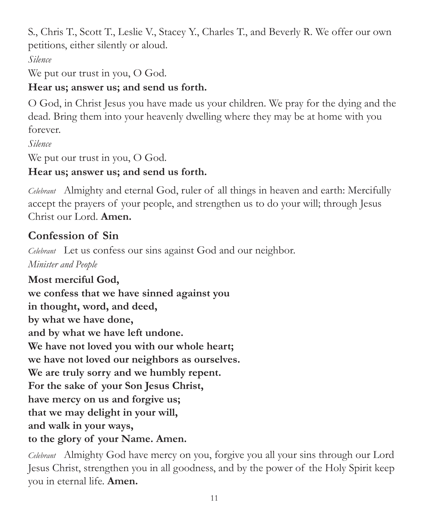S., Chris T., Scott T., Leslie V., Stacey Y., Charles T., and Beverly R. We offer our own petitions, either silently or aloud.

#### *Silence*

We put our trust in you, O God.

#### **Hear us; answer us; and send us forth.**

O God, in Christ Jesus you have made us your children. We pray for the dying and the dead. Bring them into your heavenly dwelling where they may be at home with you forever.

*Silence* We put our trust in you, O God.

#### **Hear us; answer us; and send us forth.**

*Celebrant* Almighty and eternal God, ruler of all things in heaven and earth: Mercifully accept the prayers of your people, and strengthen us to do your will; through Jesus Christ our Lord. **Amen.**

#### **Confession of Sin**

*Celebrant* Let us confess our sins against God and our neighbor. *Minister and People*

**Most merciful God, we confess that we have sinned against you in thought, word, and deed, by what we have done, and by what we have left undone. We have not loved you with our whole heart; we have not loved our neighbors as ourselves. We are truly sorry and we humbly repent. For the sake of your Son Jesus Christ, have mercy on us and forgive us; that we may delight in your will, and walk in your ways, to the glory of your Name. Amen.**

*Celebrant* Almighty God have mercy on you, forgive you all your sins through our Lord Jesus Christ, strengthen you in all goodness, and by the power of the Holy Spirit keep you in eternal life. **Amen.**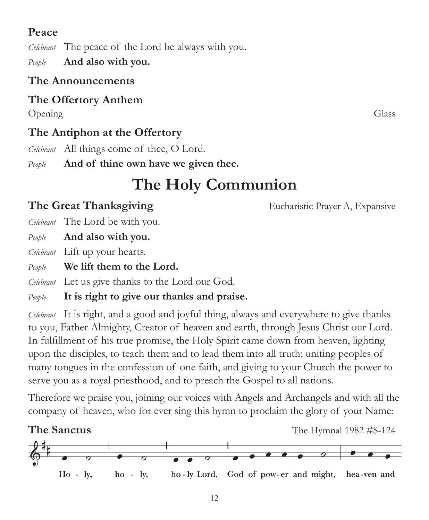#### **Peace**

*Celebrant* The peace of the Lord be always with you.

*People* **And also with you.**

### **The Announcements**

#### **The Offertory Anthem**

Opening Glass

# **The Antiphon at the Offertory**

*Celebrant* All things come of thee, O Lord.

*People* **And of thine own have we given thee.**

# **The Holy Communion**

**The Great Thanksgiving** Eucharistic Prayer A, Expansive

- *Celebrant* The Lord be with you.
- *People* **And also with you.**
- *Celebrant* Lift up your hearts.
- *People* **We lift them to the Lord.**
- *Celebrant* Let us give thanks to the Lord our God.
- *People* **It is right to give our thanks and praise.**

*Celebrant* It is right, and a good and joyful thing, always and everywhere to give thanks to you, Father Almighty, Creator of heaven and earth, through Jesus Christ our Lord. In fulfillment of his true promise, the Holy Spirit came down from heaven, lighting upon the disciples, to teach them and to lead them into all truth; uniting peoples of many tongues in the confession of one faith, and giving to your Church the power to serve you as a royal priesthood, and to preach the Gospel to all nations.

Therefore we praise you, joining our voices with Angels and Archangels and with all the company of heaven, who for ever sing this hymn to proclaim the glory of your Name:

**The Sanctus** The Hymnal 1982 #S-124  $\bullet\quad \bullet$  $\overline{\bullet}$ Ho - ly, ho - ly, ho - ly Lord, God of pow-er and might, hea-ven and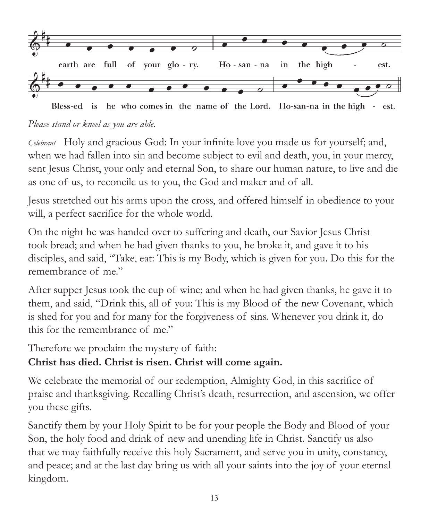

Bless-ed is he who comes in the name of the Lord. Ho-san-na in the high  $\sim$ est. *Please stand or kneel as you are able.*

*Celebrant* Holy and gracious God: In your infinite love you made us for yourself; and, when we had fallen into sin and become subject to evil and death, you, in your mercy, sent Jesus Christ, your only and eternal Son, to share our human nature, to live and die as one of us, to reconcile us to you, the God and maker and of all.

Jesus stretched out his arms upon the cross, and offered himself in obedience to your will, a perfect sacrifice for the whole world.

On the night he was handed over to suffering and death, our Savior Jesus Christ took bread; and when he had given thanks to you, he broke it, and gave it to his disciples, and said, "Take, eat: This is my Body, which is given for you. Do this for the remembrance of me."

After supper Jesus took the cup of wine; and when he had given thanks, he gave it to them, and said, "Drink this, all of you: This is my Blood of the new Covenant, which is shed for you and for many for the forgiveness of sins. Whenever you drink it, do this for the remembrance of me."

Therefore we proclaim the mystery of faith:

#### **Christ has died. Christ is risen. Christ will come again.**

We celebrate the memorial of our redemption, Almighty God, in this sacrifice of praise and thanksgiving. Recalling Christ's death, resurrection, and ascension, we offer you these gifts.

Sanctify them by your Holy Spirit to be for your people the Body and Blood of your Son, the holy food and drink of new and unending life in Christ. Sanctify us also that we may faithfully receive this holy Sacrament, and serve you in unity, constancy, and peace; and at the last day bring us with all your saints into the joy of your eternal kingdom.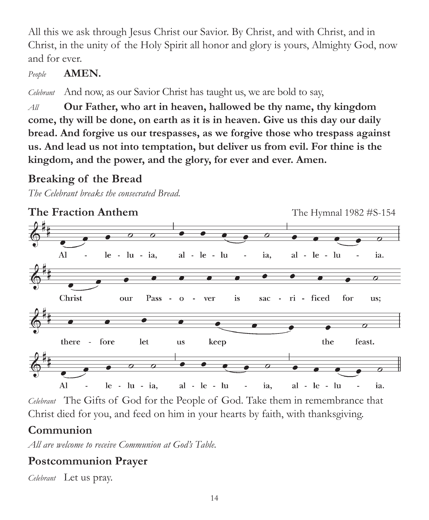All this we ask through Jesus Christ our Savior. By Christ, and with Christ, and in Christ, in the unity of the Holy Spirit all honor and glory is yours, Almighty God, now and for ever.

*People* **AMEN.**

*Celebrant* And now, as our Savior Christ has taught us, we are bold to say,

*All* **Our Father, who art in heaven, hallowed be thy name, thy kingdom come, thy will be done, on earth as it is in heaven. Give us this day our daily bread. And forgive us our trespasses, as we forgive those who trespass against us. And lead us not into temptation, but deliver us from evil. For thine is the kingdom, and the power, and the glory, for ever and ever. Amen.**

# **Breaking of the Bread**

*The Celebrant breaks the consecrated Bread.*



*Celebrant* The Gifts of God for the People of God. Take them in remembrance that Christ died for you, and feed on him in your hearts by faith, with thanksgiving.

# **Communion**

*All are welcome to receive Communion at God's Table.* 

# **Postcommunion Prayer**

*Celebrant* Let us pray.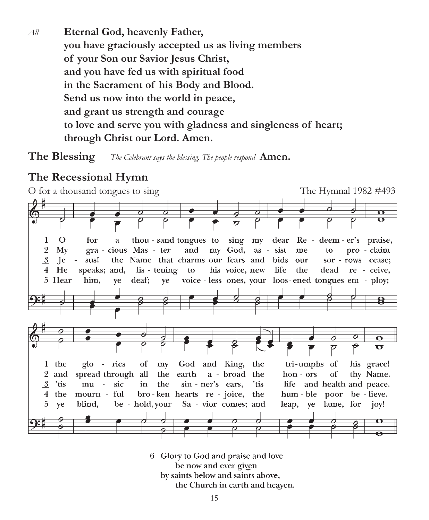*All* **Eternal God, heavenly Father, you have graciously accepted us as living members of your Son our Savior Jesus Christ, and you have fed us with spiritual food in the Sacrament of his Body and Blood. Send us now into the world in peace, and grant us strength and courage to love and serve you with gladness and singleness of heart; through Christ our Lord. Amen.**

**The Blessing** *The Celebrant says the blessing. The people respond* **Amen.**

#### **The Recessional Hymn**



6 Glory to God and praise and love be now and ever given by saints below and saints above, the Church in earth and heaven.